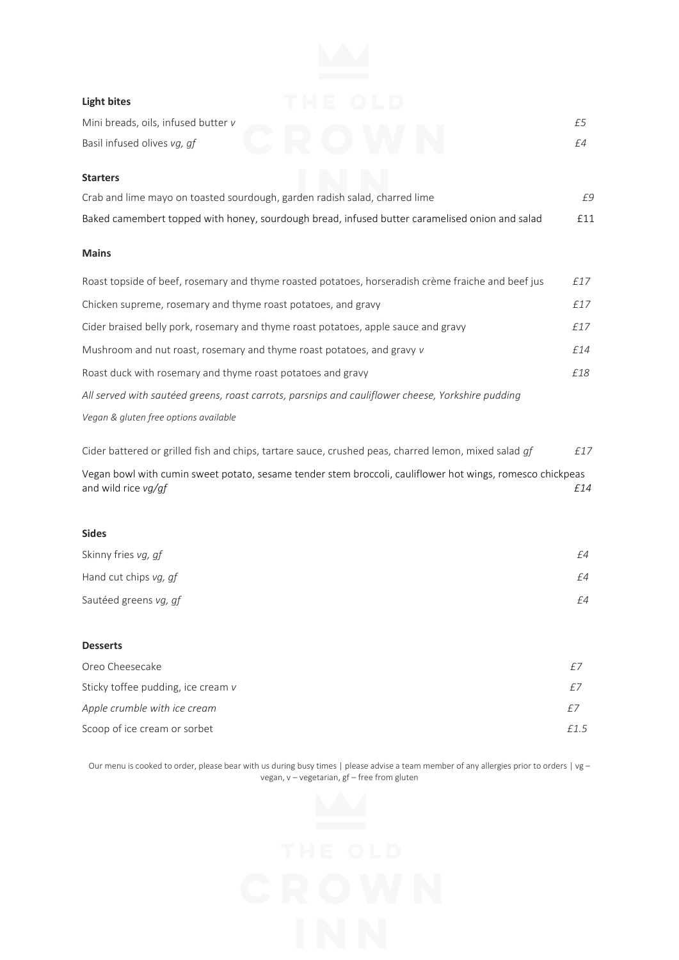## **Light bites**

| Mini breads, oils, infused butter v<br>Basil infused olives vg, gf                                 | £5<br>£4 |
|----------------------------------------------------------------------------------------------------|----------|
| <b>Starters</b>                                                                                    |          |
| Crab and lime mayo on toasted sourdough, garden radish salad, charred lime                         | £9       |
| Baked camembert topped with honey, sourdough bread, infused butter caramelised onion and salad     | £11      |
| <b>Mains</b>                                                                                       |          |
| Roast topside of beef, rosemary and thyme roasted potatoes, horseradish crème fraiche and beef jus | £17      |
| Chicken supreme, rosemary and thyme roast potatoes, and gravy                                      | £17      |
| Cider braised belly pork, rosemary and thyme roast potatoes, apple sauce and gravy                 | £17      |

Mushroom and nut roast, rosemary and thyme roast potatoes, and gravy *v £14* Roast duck with rosemary and thyme roast potatoes and gravy *£18 All served with sautéed greens, roast carrots, parsnips and cauliflower cheese, Yorkshire pudding Vegan & gluten free options available*

Cider battered or grilled fish and chips, tartare sauce, crushed peas, charred lemon, mixed salad *gf £17* Vegan bowl with cumin sweet potato, sesame tender stem broccoli, cauliflower hot wings, romesco chickpeas and wild rice *vg/gf*  $f14$ 

## **Sides**

| Skinny fries vg, gf   | f4 |
|-----------------------|----|
| Hand cut chips vg, gf | f4 |
| Sautéed greens vg, gf | f4 |

## **Desserts**

| £7  |
|-----|
| f15 |
|     |

Our menu is cooked to order, please bear with us during busy times | please advise a team member of any allergies prior to orders | vg vegan, v – vegetarian, gf – free from gluten